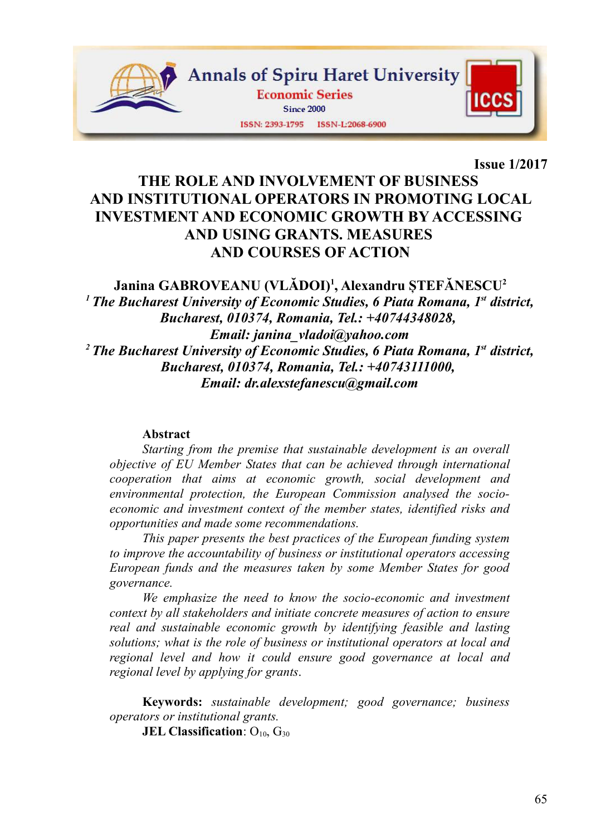

# **THE ROLE AND INVOLVEMENT OF BUSINESS AND INSTITUTIONAL OPERATORS IN PROMOTING LOCAL INVESTMENT AND ECONOMIC GROWTH BY ACCESSING AND USING GRANTS. MEASURES AND COURSES OF ACTION**

**Janina GABROVEANU (VLĂDOI)<sup>1</sup> , Alexandru ȘTEFĂNESCU<sup>2</sup>** *<sup>1</sup>The Bucharest University of Economic Studies, 6 Piata Romana, 1st district, Bucharest, 010374, Romania, Tel.: +40744348028, Email: janina\_vladoi@yahoo.com <sup>2</sup>The Bucharest University of Economic Studies, 6 Piata Romana, 1st district, Bucharest, 010374, Romania, Tel.: +40743111000, Email: dr.alexstefanescu@gmail.com*

#### **Abstract**

*Starting from the premise that sustainable development is an overall objective of EU Member States that can be achieved through international cooperation that aims at economic growth, social development and environmental protection, the European Commission analysed the socioeconomic and investment context of the member states, identified risks and opportunities and made some recommendations.*

*This paper presents the best practices of the European funding system to improve the accountability of business or institutional operators accessing European funds and the measures taken by some Member States for good governance.*

*We emphasize the need to know the socio-economic and investment context by all stakeholders and initiate concrete measures of action to ensure real and sustainable economic growth by identifying feasible and lasting solutions; what is the role of business or institutional operators at local and regional level and how it could ensure good governance at local and regional level by applying for grants*.

**Keywords:** *sustainable development; good governance; business operators or institutional grants.*

**JEL Classification:** O<sub>10</sub>, G<sub>30</sub>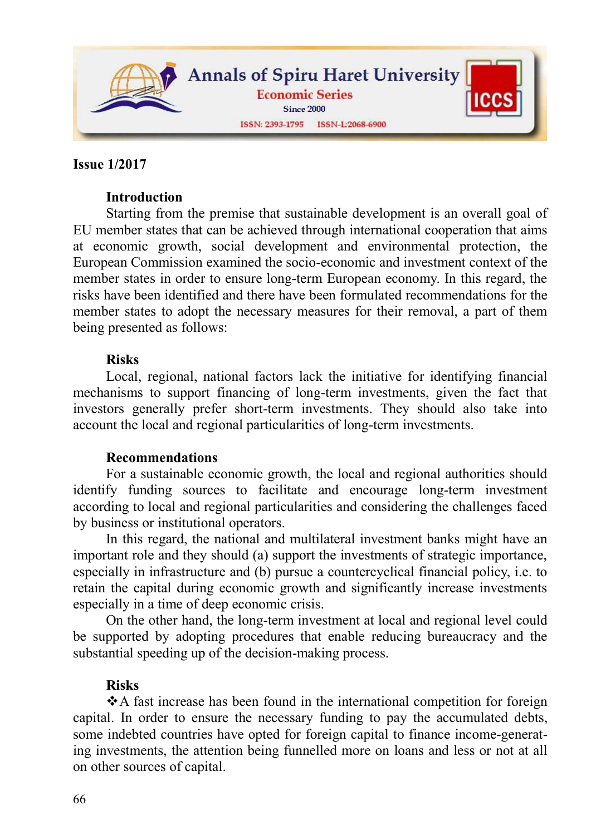

### **Introduction**

Starting from the premise that sustainable development is an overall goal of EU member states that can be achieved through international cooperation that aims at economic growth, social development and environmental protection, the European Commission examined the socio-economic and investment context of the member states in order to ensure long-term European economy. In this regard, the risks have been identified and there have been formulated recommendations for the member states to adopt the necessary measures for their removal, a part of them being presented as follows:

### **Risks**

Local, regional, national factors lack the initiative for identifying financial mechanisms to support financing of long-term investments, given the fact that investors generally prefer short-term investments. They should also take into account the local and regional particularities of long-term investments.

### **Recommendations**

For a sustainable economic growth, the local and regional authorities should identify funding sources to facilitate and encourage long-term investment according to local and regional particularities and considering the challenges faced by business or institutional operators.

In this regard, the national and multilateral investment banks might have an important role and they should (a) support the investments of strategic importance, especially in infrastructure and (b) pursue a countercyclical financial policy, i.e. to retain the capital during economic growth and significantly increase investments especially in a time of deep economic crisis.

On the other hand, the long-term investment at local and regional level could be supported by adopting procedures that enable reducing bureaucracy and the substantial speeding up of the decision-making process.

### **Risks**

A fast increase has been found in the international competition for foreign capital. In order to ensure the necessary funding to pay the accumulated debts, some indebted countries have opted for foreign capital to finance income-generating investments, the attention being funnelled more on loans and less or not at all on other sources of capital.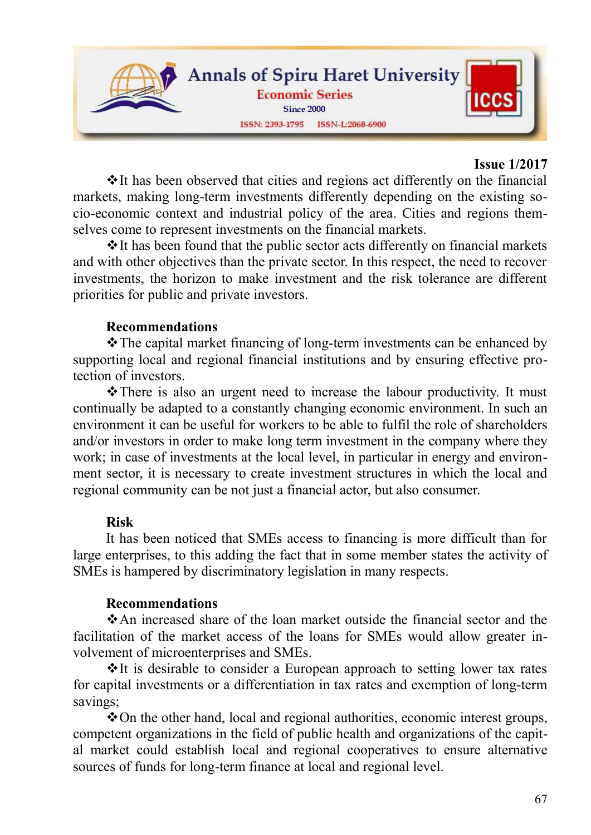

 $\triangle$ It has been observed that cities and regions act differently on the financial markets, making long-term investments differently depending on the existing socio-economic context and industrial policy of the area. Cities and regions themselves come to represent investments on the financial markets.

It has been found that the public sector acts differently on financial markets and with other objectives than the private sector. In this respect, the need to recover investments, the horizon to make investment and the risk tolerance are different priorities for public and private investors.

### **Recommendations**

The capital market financing of long-term investments can be enhanced by supporting local and regional financial institutions and by ensuring effective protection of investors.

\* There is also an urgent need to increase the labour productivity. It must continually be adapted to a constantly changing economic environment. In such an environment it can be useful for workers to be able to fulfil the role of shareholders and/or investors in order to make long term investment in the company where they work; in case of investments at the local level, in particular in energy and environment sector, it is necessary to create investment structures in which the local and regional community can be not just a financial actor, but also consumer.

### **Risk**

It has been noticed that SMEs access to financing is more difficult than for large enterprises, to this adding the fact that in some member states the activity of SMEs is hampered by discriminatory legislation in many respects.

#### **Recommendations**

An increased share of the loan market outside the financial sector and the facilitation of the market access of the loans for SMEs would allow greater involvement of microenterprises and SMEs.

 $*$  It is desirable to consider a European approach to setting lower tax rates for capital investments or a differentiation in tax rates and exemption of long-term savings;

On the other hand, local and regional authorities, economic interest groups, competent organizations in the field of public health and organizations of the capital market could establish local and regional cooperatives to ensure alternative sources of funds for long-term finance at local and regional level.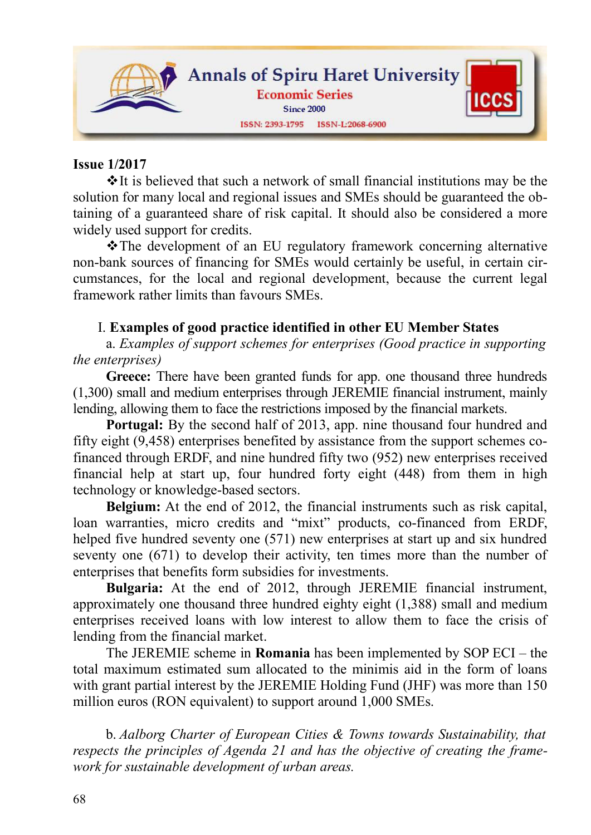

 $\cdot \cdot$  It is believed that such a network of small financial institutions may be the solution for many local and regional issues and SMEs should be guaranteed the obtaining of a guaranteed share of risk capital. It should also be considered a more widely used support for credits.

\* The development of an EU regulatory framework concerning alternative non-bank sources of financing for SMEs would certainly be useful, in certain circumstances, for the local and regional development, because the current legal framework rather limits than favours SMEs.

## I. **Examples of good practice identified in other EU Member States**

a. *Examples of support schemes for enterprises (Good practice in supporting the enterprises)*

**Greece:** There have been granted funds for app. one thousand three hundreds (1,300) small and medium enterprises through JEREMIE financial instrument, mainly lending, allowing them to face the restrictions imposed by the financial markets.

**Portugal:** By the second half of 2013, app. nine thousand four hundred and fifty eight (9,458) enterprises benefited by assistance from the support schemes cofinanced through ERDF, and nine hundred fifty two (952) new enterprises received financial help at start up, four hundred forty eight (448) from them in high technology or knowledge-based sectors.

**Belgium:** At the end of 2012, the financial instruments such as risk capital, loan warranties, micro credits and "mixt" products, co-financed from ERDF, helped five hundred seventy one (571) new enterprises at start up and six hundred seventy one (671) to develop their activity, ten times more than the number of enterprises that benefits form subsidies for investments.

**Bulgaria:** At the end of 2012, through JEREMIE financial instrument, approximately one thousand three hundred eighty eight (1,388) small and medium enterprises received loans with low interest to allow them to face the crisis of lending from the financial market.

The JEREMIE scheme in **Romania** has been implemented by SOP ECI – the total maximum estimated sum allocated to the minimis aid in the form of loans with grant partial interest by the JEREMIE Holding Fund (JHF) was more than 150 million euros (RON equivalent) to support around 1,000 SMEs.

b. *Aalborg Charter of European Cities & Towns towards Sustainability, that respects the principles of Agenda 21 and has the objective of creating the framework for sustainable development of urban areas.*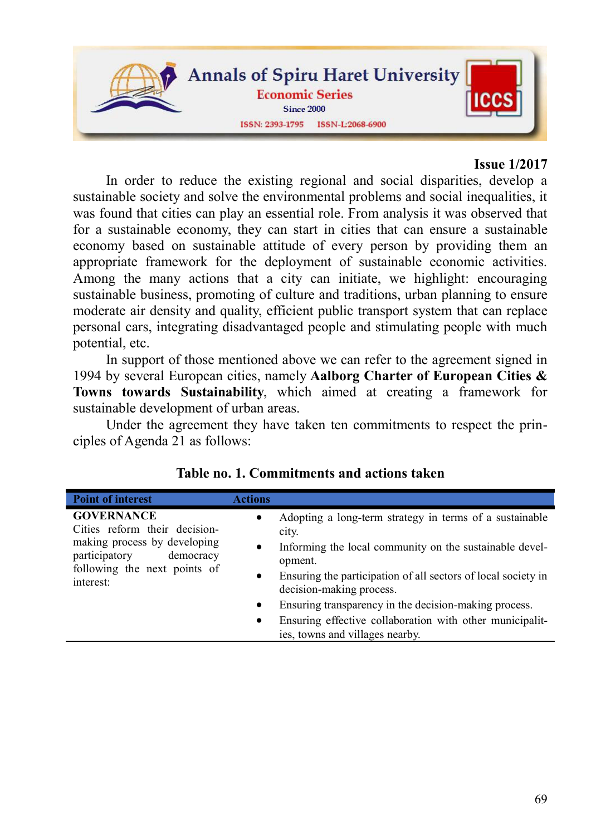

In order to reduce the existing regional and social disparities, develop a sustainable society and solve the environmental problems and social inequalities, it was found that cities can play an essential role. From analysis it was observed that for a sustainable economy, they can start in cities that can ensure a sustainable economy based on sustainable attitude of every person by providing them an appropriate framework for the deployment of sustainable economic activities. Among the many actions that a city can initiate, we highlight: encouraging sustainable business, promoting of culture and traditions, urban planning to ensure moderate air density and quality, efficient public transport system that can replace personal cars, integrating disadvantaged people and stimulating people with much potential, etc.

In support of those mentioned above we can refer to the agreement signed in 1994 by several European cities, namely **Aalborg Charter of European Cities & Towns towards Sustainability**, which aimed at creating a framework for sustainable development of urban areas.

Under the agreement they have taken ten commitments to respect the principles of Agenda 21 as follows:

| <b>Point of interest</b>                                                                                                                                      | <b>Actions</b>                                                |                                                                                                                                                                                                                                                                                                                                                                                             |
|---------------------------------------------------------------------------------------------------------------------------------------------------------------|---------------------------------------------------------------|---------------------------------------------------------------------------------------------------------------------------------------------------------------------------------------------------------------------------------------------------------------------------------------------------------------------------------------------------------------------------------------------|
| <b>GOVERNANCE</b><br>Cities reform their decision-<br>making process by developing<br>participatory<br>democracy<br>following the next points of<br>interest: | $\bullet$<br>$\bullet$<br>$\bullet$<br>$\bullet$<br>$\bullet$ | Adopting a long-term strategy in terms of a sustainable<br>city.<br>Informing the local community on the sustainable devel-<br>opment.<br>Ensuring the participation of all sectors of local society in<br>decision-making process.<br>Ensuring transparency in the decision-making process.<br>Ensuring effective collaboration with other municipalit-<br>ies, towns and villages nearby. |

| Table no. 1. Commitments and actions taken |  |  |
|--------------------------------------------|--|--|
|--------------------------------------------|--|--|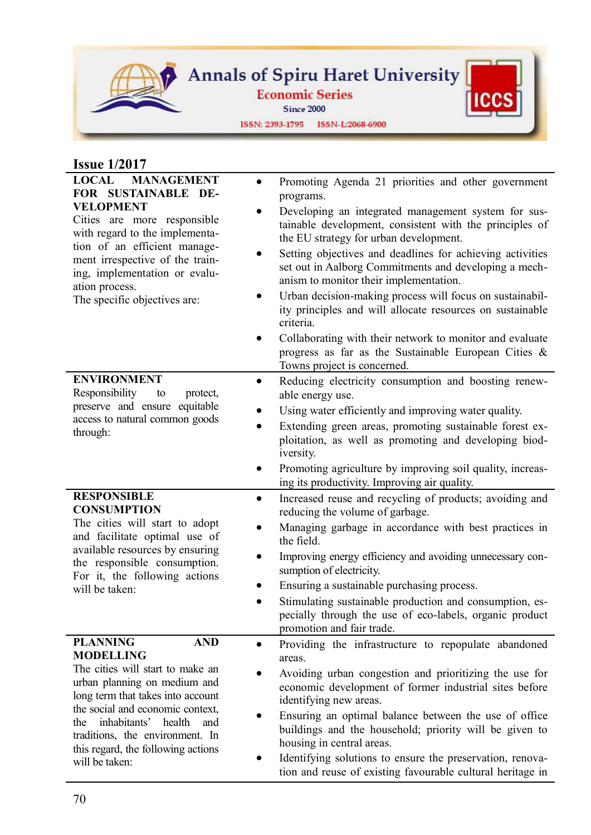Annals of Spiru Haret University

**ICCS** 

**Since 2000** 

ISSN: 2393-1795 ISSN-L:2068-6900

# **Issue 1/2017**

| <b>LOCAL</b><br><b>MANAGEMENT</b><br>FOR SUSTAINABLE DE-<br>VELOPMENT<br>Cities are more responsible<br>with regard to the implementa-<br>tion of an efficient manage-<br>ment irrespective of the train-<br>ing, implementation or evalu-<br>ation process.<br>The specific objectives are:                            | Promoting Agenda 21 priorities and other government<br>$\bullet$<br>programs.<br>Developing an integrated management system for sus-<br>$\bullet$<br>tainable development, consistent with the principles of<br>the EU strategy for urban development.<br>Setting objectives and deadlines for achieving activities<br>$\bullet$<br>set out in Aalborg Commitments and developing a mech-<br>anism to monitor their implementation.<br>Urban decision-making process will focus on sustainabil-<br>$\bullet$<br>ity principles and will allocate resources on sustainable<br>criteria.<br>Collaborating with their network to monitor and evaluate<br>$\bullet$<br>progress as far as the Sustainable European Cities &<br>Towns project is concerned. |
|-------------------------------------------------------------------------------------------------------------------------------------------------------------------------------------------------------------------------------------------------------------------------------------------------------------------------|--------------------------------------------------------------------------------------------------------------------------------------------------------------------------------------------------------------------------------------------------------------------------------------------------------------------------------------------------------------------------------------------------------------------------------------------------------------------------------------------------------------------------------------------------------------------------------------------------------------------------------------------------------------------------------------------------------------------------------------------------------|
| <b>ENVIRONMENT</b><br>Responsibility<br>to<br>protect,<br>preserve and ensure equitable<br>access to natural common goods<br>through:                                                                                                                                                                                   | Reducing electricity consumption and boosting renew-<br>$\bullet$<br>able energy use.<br>Using water efficiently and improving water quality.<br>٠<br>Extending green areas, promoting sustainable forest ex-<br>$\bullet$<br>ploitation, as well as promoting and developing biod-<br>iversity.<br>Promoting agriculture by improving soil quality, increas-<br>$\bullet$<br>ing its productivity. Improving air quality.                                                                                                                                                                                                                                                                                                                             |
| <b>RESPONSIBLE</b><br><b>CONSUMPTION</b><br>The cities will start to adopt<br>and facilitate optimal use of<br>available resources by ensuring<br>the responsible consumption.<br>For it, the following actions<br>will be taken:                                                                                       | Increased reuse and recycling of products; avoiding and<br>$\bullet$<br>reducing the volume of garbage.<br>Managing garbage in accordance with best practices in<br>$\bullet$<br>the field.<br>Improving energy efficiency and avoiding unnecessary con-<br>$\bullet$<br>sumption of electricity.<br>Ensuring a sustainable purchasing process.<br>٠<br>Stimulating sustainable production and consumption, es-<br>$\bullet$<br>pecially through the use of eco-labels, organic product<br>promotion and fair trade.                                                                                                                                                                                                                                   |
| <b>PLANNING</b><br>AND<br><b>MODELLING</b><br>The cities will start to make an<br>urban planning on medium and<br>long term that takes into account<br>the social and economic context,<br>the inhabitants'<br>health<br>and<br>traditions, the environment. In<br>this regard, the following actions<br>will be taken: | Providing the infrastructure to repopulate abandoned<br>$\bullet$<br>areas.<br>Avoiding urban congestion and prioritizing the use for<br>$\bullet$<br>economic development of former industrial sites before<br>identifying new areas.<br>Ensuring an optimal balance between the use of office<br>buildings and the household; priority will be given to<br>housing in central areas.<br>Identifying solutions to ensure the preservation, renova-<br>$\bullet$<br>tion and reuse of existing favourable cultural heritage in                                                                                                                                                                                                                         |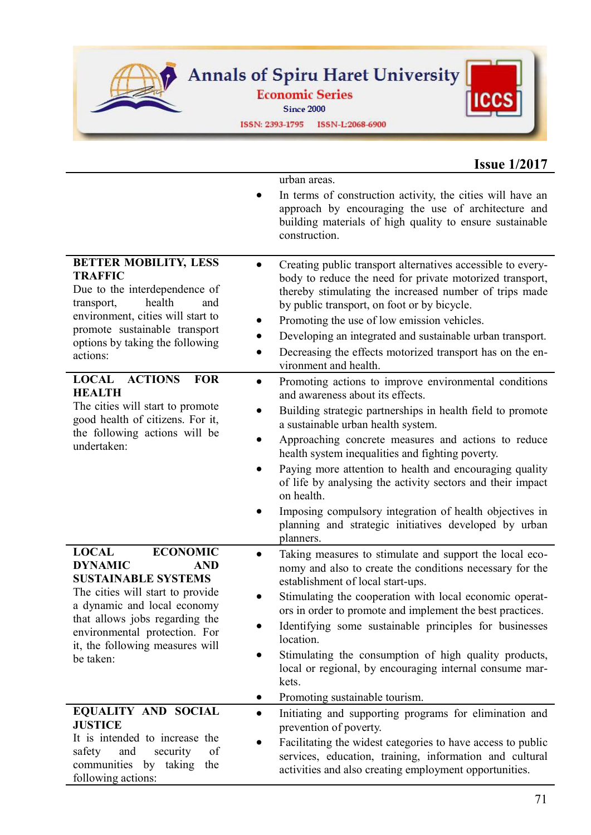Annals of Spiru Haret University

**Since 2000** 

ISSN: 2393-1795 ISSN-L:2068-6900



## **Issue 1/2017**

|                                                                                                                                                                                                                                                                              | urban areas.                                                                                                                                                                                                                                                                                                                                                                                                                                                                                                                                                                                               |
|------------------------------------------------------------------------------------------------------------------------------------------------------------------------------------------------------------------------------------------------------------------------------|------------------------------------------------------------------------------------------------------------------------------------------------------------------------------------------------------------------------------------------------------------------------------------------------------------------------------------------------------------------------------------------------------------------------------------------------------------------------------------------------------------------------------------------------------------------------------------------------------------|
|                                                                                                                                                                                                                                                                              | In terms of construction activity, the cities will have an<br>approach by encouraging the use of architecture and<br>building materials of high quality to ensure sustainable<br>construction.                                                                                                                                                                                                                                                                                                                                                                                                             |
| <b>BETTER MOBILITY, LESS</b><br>TRAFFIC<br>Due to the interdependence of<br>health<br>transport,<br>and<br>environment, cities will start to<br>promote sustainable transport<br>options by taking the following<br>actions:                                                 | Creating public transport alternatives accessible to every-<br>$\bullet$<br>body to reduce the need for private motorized transport,<br>thereby stimulating the increased number of trips made<br>by public transport, on foot or by bicycle.<br>Promoting the use of low emission vehicles.<br>٠<br>Developing an integrated and sustainable urban transport.<br>Decreasing the effects motorized transport has on the en-<br>$\bullet$<br>vironment and health.                                                                                                                                          |
| <b>ACTIONS</b><br><b>LOCAL</b><br><b>FOR</b><br><b>HEALTH</b><br>The cities will start to promote<br>good health of citizens. For it,<br>the following actions will be<br>undertaken:                                                                                        | Promoting actions to improve environmental conditions<br>$\bullet$<br>and awareness about its effects.<br>Building strategic partnerships in health field to promote<br>a sustainable urban health system.<br>Approaching concrete measures and actions to reduce<br>$\bullet$<br>health system inequalities and fighting poverty.<br>Paying more attention to health and encouraging quality<br>of life by analysing the activity sectors and their impact<br>on health.<br>Imposing compulsory integration of health objectives in<br>planning and strategic initiatives developed by urban<br>planners. |
| <b>LOCAL</b><br><b>ECONOMIC</b><br><b>DYNAMIC</b><br>AND<br><b>SUSTAINABLE SYSTEMS</b><br>The cities will start to provide<br>a dynamic and local economy<br>that allows jobs regarding the<br>environmental protection. For<br>it, the following measures will<br>be taken: | Taking measures to stimulate and support the local eco-<br>$\bullet$<br>nomy and also to create the conditions necessary for the<br>establishment of local start-ups.<br>Stimulating the cooperation with local economic operat-<br>ors in order to promote and implement the best practices.<br>Identifying some sustainable principles for businesses<br>$\bullet$<br>location.<br>Stimulating the consumption of high quality products,<br>local or regional, by encouraging internal consume mar-<br>kets.<br>Promoting sustainable tourism.<br>$\bullet$                                              |
| <b>EQUALITY AND SOCIAL</b><br><b>JUSTICE</b><br>It is intended to increase the<br>and<br>of<br>safety<br>security<br>communities by<br>taking the<br>following actions:                                                                                                      | Initiating and supporting programs for elimination and<br>$\bullet$<br>prevention of poverty.<br>Facilitating the widest categories to have access to public<br>$\bullet$<br>services, education, training, information and cultural<br>activities and also creating employment opportunities.                                                                                                                                                                                                                                                                                                             |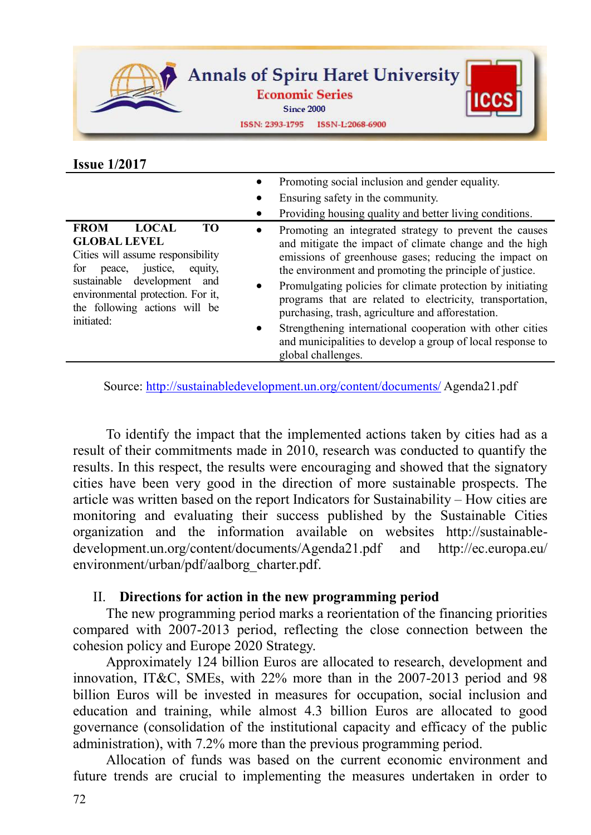**Annals of Spiru Haret University** 

**Economic Series** 

Since 2000

**ISSN: 2393,1795 ISSN\_L-2068-6900** 

**Issue 1/2017**

|                                                                                                                                                                                                                                                          | Promoting social inclusion and gender equality.<br>$\bullet$<br>Ensuring safety in the community.<br>$\bullet$<br>$\bullet$                                                                                                                                                                                                                                                                                                                                                                                                                                                                                                                                             |  |  |  |
|----------------------------------------------------------------------------------------------------------------------------------------------------------------------------------------------------------------------------------------------------------|-------------------------------------------------------------------------------------------------------------------------------------------------------------------------------------------------------------------------------------------------------------------------------------------------------------------------------------------------------------------------------------------------------------------------------------------------------------------------------------------------------------------------------------------------------------------------------------------------------------------------------------------------------------------------|--|--|--|
| TО<br><b>LOCAL</b><br><b>FROM</b><br><b>GLOBAL LEVEL</b><br>Cities will assume responsibility<br>justice,<br>for<br>equity,<br>peace,<br>sustainable development and<br>environmental protection. For it,<br>the following actions will be<br>initiated: | Providing housing quality and better living conditions.<br>Promoting an integrated strategy to prevent the causes<br>$\bullet$<br>and mitigate the impact of climate change and the high<br>emissions of greenhouse gases; reducing the impact on<br>the environment and promoting the principle of justice.<br>Promulgating policies for climate protection by initiating<br>$\bullet$<br>programs that are related to electricity, transportation,<br>purchasing, trash, agriculture and afforestation.<br>Strengthening international cooperation with other cities<br>$\bullet$<br>and municipalities to develop a group of local response to<br>global challenges. |  |  |  |

Source: http://sustainabledevelopment.un.org/content/documents/ Agenda21.pdf

To identify the impact that the implemented actions taken by cities had as a result of their commitments made in 2010, research was conducted to quantify the results. In this respect, the results were encouraging and showed that the signatory cities have been very good in the direction of more sustainable prospects. The article was written based on the report Indicators for Sustainability – How cities are monitoring and evaluating their success published by the Sustainable Cities organization and the information available on websites http://sustainabledevelopment.un.org/content/documents/Agenda21.pdf and http://ec.europa.eu/ environment/urban/pdf/aalborg\_charter.pdf.

### II. **Directions for action in the new programming period**

The new programming period marks a reorientation of the financing priorities compared with 2007-2013 period, reflecting the close connection between the cohesion policy and Europe 2020 Strategy.

Approximately 124 billion Euros are allocated to research, development and innovation, IT&C, SMEs, with 22% more than in the 2007-2013 period and 98 billion Euros will be invested in measures for occupation, social inclusion and education and training, while almost 4.3 billion Euros are allocated to good governance (consolidation of the institutional capacity and efficacy of the public administration), with 7.2% more than the previous programming period.

Allocation of funds was based on the current economic environment and future trends are crucial to implementing the measures undertaken in order to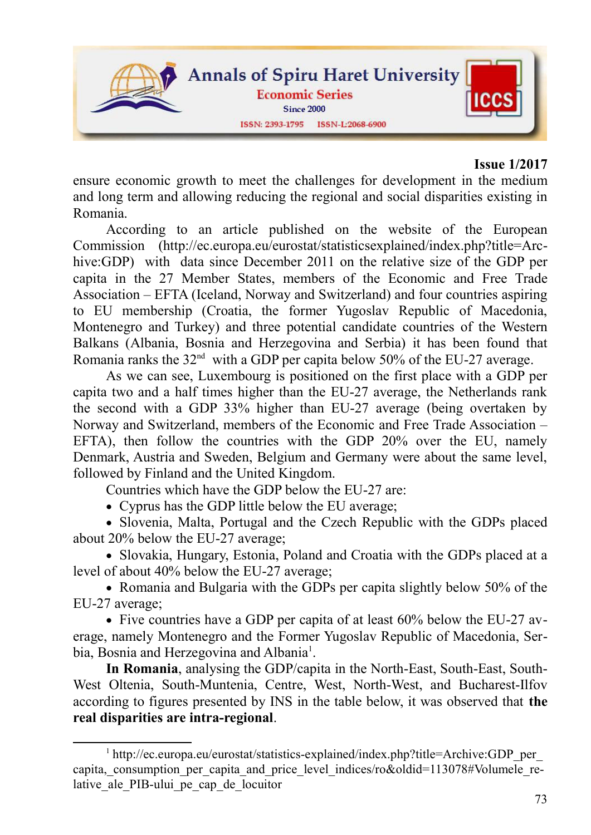

ensure economic growth to meet the challenges for development in the medium and long term and allowing reducing the regional and social disparities existing in Romania.

According to an article published on the website of the European Commission (http://ec.europa.eu/eurostat/statisticsexplained/index.php?title=Archive:GDP) with data since December 2011 on the relative size of the GDP per capita in the 27 Member States, members of the Economic and Free Trade Association – EFTA (Iceland, Norway and Switzerland) and four countries aspiring to EU membership (Croatia, the former Yugoslav Republic of Macedonia, Montenegro and Turkey) and three potential candidate countries of the Western Balkans (Albania, Bosnia and Herzegovina and Serbia) it has been found that Romania ranks the  $32<sup>nd</sup>$  with a GDP per capita below 50% of the EU-27 average.

As we can see, Luxembourg is positioned on the first place with a GDP per capita two and a half times higher than the EU-27 average, the Netherlands rank the second with a GDP 33% higher than EU-27 average (being overtaken by Norway and Switzerland, members of the Economic and Free Trade Association – EFTA), then follow the countries with the GDP 20% over the EU, namely Denmark, Austria and Sweden, Belgium and Germany were about the same level, followed by Finland and the United Kingdom.

Countries which have the GDP below the EU-27 are:

• Cyprus has the GDP little below the EU average;

• Slovenia, Malta, Portugal and the Czech Republic with the GDPs placed about 20% below the EU-27 average;

• Slovakia, Hungary, Estonia, Poland and Croatia with the GDPs placed at a level of about 40% below the EU-27 average;

• Romania and Bulgaria with the GDPs per capita slightly below 50% of the EU-27 average;

• Five countries have a GDP per capita of at least 60% below the EU-27 average, namely Montenegro and the Former Yugoslav Republic of Macedonia, Serbia, Bosnia and Herzegovina and Albania<sup>1</sup>.

**In Romania**, analysing the GDP/capita in the North-East, South-East, South-West Oltenia, South-Muntenia, Centre, West, North-West, and Bucharest-Ilfov according to figures presented by INS in the table below, it was observed that **the real disparities are intra-regional**.

<sup>&</sup>lt;sup>1</sup> http://ec.europa.eu/eurostat/statistics-explained/index.php?title=Archive:GDP\_per\_ capita, consumption per capita and price level indices/ro&oldid=113078#Volumele relative ale PIB-ului pe cap de locuitor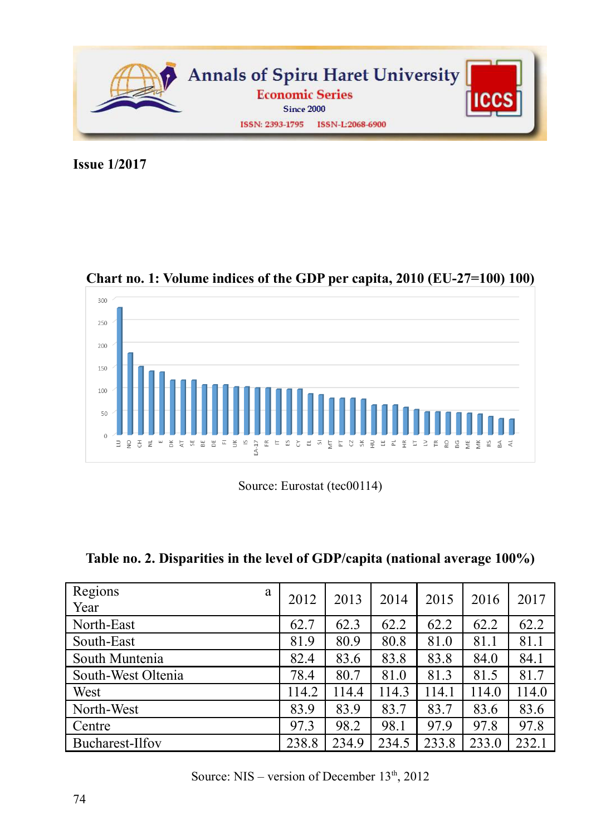



**Chart no. 1: Volume indices of the GDP per capita, 2010 (EU-27=100) 100)**

Source: Eurostat (tec00114)

**Table no. 2. Disparities in the level of GDP/capita (national average 100%)**

| Regions<br>a<br>Year | 2012  | 2013  | 2014  | 2015  | 2016  | 2017  |
|----------------------|-------|-------|-------|-------|-------|-------|
| North-East           | 62.7  | 62.3  | 62.2  | 62.2  | 62.2  | 62.2  |
| South-East           | 81.9  | 80.9  | 80.8  | 81.0  | 81.1  | 81.1  |
| South Muntenia       | 82.4  | 83.6  | 83.8  | 83.8  | 84.0  | 84.1  |
| South-West Oltenia   | 78.4  | 80.7  | 81.0  | 81.3  | 81.5  | 81.7  |
| West                 | 114.2 | 114.4 | 114.3 | 114.1 | 114.0 | 114.0 |
| North-West           | 83.9  | 83.9  | 83.7  | 83.7  | 83.6  | 83.6  |
| Centre               | 97.3  | 98.2  | 98.1  | 97.9  | 97.8  | 97.8  |
| Bucharest-Ilfov      | 238.8 | 234.9 | 234.5 | 233.8 | 233.0 | 232.1 |

Source: NIS – version of December  $13<sup>th</sup>$ , 2012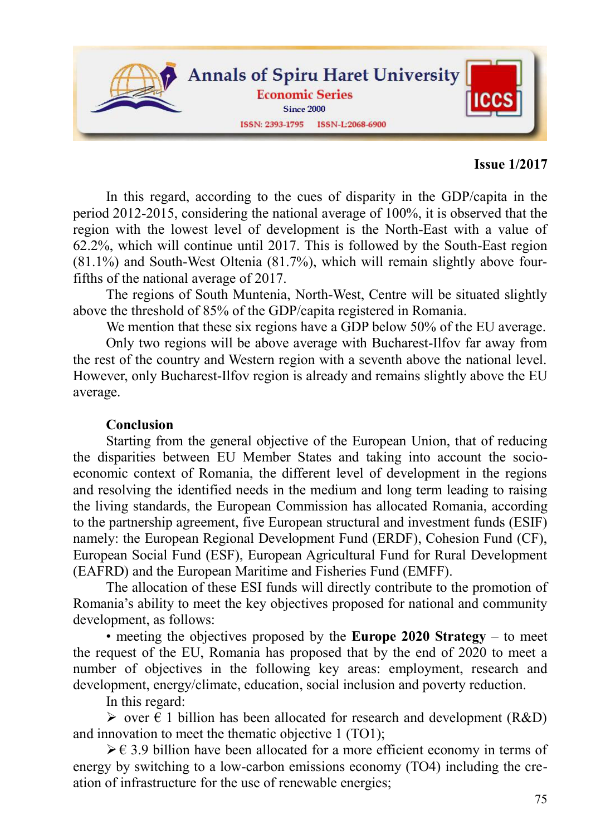

In this regard, according to the cues of disparity in the GDP/capita in the period 2012-2015, considering the national average of 100%, it is observed that the region with the lowest level of development is the North-East with a value of 62.2%, which will continue until 2017. This is followed by the South-East region (81.1%) and South-West Oltenia (81.7%), which will remain slightly above fourfifths of the national average of 2017.

The regions of South Muntenia, North-West, Centre will be situated slightly above the threshold of 85% of the GDP/capita registered in Romania.

We mention that these six regions have a GDP below 50% of the EU average. Only two regions will be above average with Bucharest-Ilfov far away from the rest of the country and Western region with a seventh above the national level.

However, only Bucharest-Ilfov region is already and remains slightly above the EU average.

### **Conclusion**

Starting from the general objective of the European Union, that of reducing the disparities between EU Member States and taking into account the socioeconomic context of Romania, the different level of development in the regions and resolving the identified needs in the medium and long term leading to raising the living standards, the European Commission has allocated Romania, according to the partnership agreement, five European structural and investment funds (ESIF) namely: the European Regional Development Fund (ERDF), Cohesion Fund (CF), European Social Fund (ESF), European Agricultural Fund for Rural Development (EAFRD) and the European Maritime and Fisheries Fund (EMFF).

The allocation of these ESI funds will directly contribute to the promotion of Romania's ability to meet the key objectives proposed for national and community development, as follows:

• meeting the objectives proposed by the **Europe 2020 Strategy** – to meet the request of the EU, Romania has proposed that by the end of 2020 to meet a number of objectives in the following key areas: employment, research and development, energy/climate, education, social inclusion and poverty reduction.

In this regard:

 $\triangleright$  over  $\vec{\epsilon}$  1 billion has been allocated for research and development (R&D) and innovation to meet the thematic objective 1 (TO1);

 $\geq \theta$  3.9 billion have been allocated for a more efficient economy in terms of energy by switching to a low-carbon emissions economy (TO4) including the creation of infrastructure for the use of renewable energies;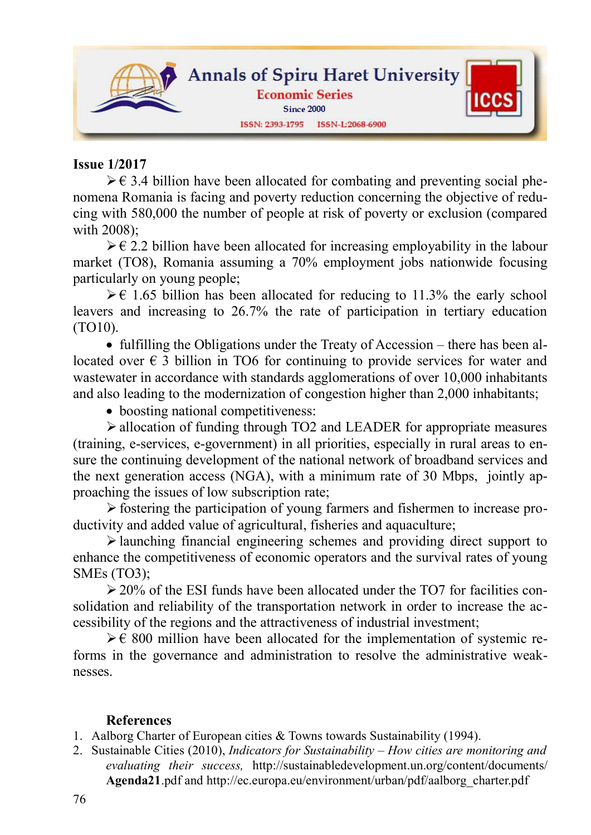

 $\geq \epsilon$  3.4 billion have been allocated for combating and preventing social phenomena Romania is facing and poverty reduction concerning the objective of reducing with 580,000 the number of people at risk of poverty or exclusion (compared with 2008);

 $\geq \epsilon$  2.2 billion have been allocated for increasing employability in the labour market (TO8), Romania assuming a 70% employment jobs nationwide focusing particularly on young people;

 $\geq \theta$  1.65 billion has been allocated for reducing to 11.3% the early school leavers and increasing to 26.7% the rate of participation in tertiary education (TO10).

• fulfilling the Obligations under the Treaty of Accession – there has been allocated over  $\epsilon$  3 billion in TO6 for continuing to provide services for water and wastewater in accordance with standards agglomerations of over 10,000 inhabitants and also leading to the modernization of congestion higher than 2,000 inhabitants;

• boosting national competitiveness:

-allocation of funding through TO2 and LEADER for appropriate measures (training, e-services, e-government) in all priorities, especially in rural areas to ensure the continuing development of the national network of broadband services and the next generation access (NGA), with a minimum rate of 30 Mbps, jointly approaching the issues of low subscription rate;

-fostering the participation of young farmers and fishermen to increase productivity and added value of agricultural, fisheries and aquaculture;

-launching financial engineering schemes and providing direct support to enhance the competitiveness of economic operators and the survival rates of young SMEs (TO3);

 $\geq$  20% of the ESI funds have been allocated under the TO7 for facilities consolidation and reliability of the transportation network in order to increase the accessibility of the regions and the attractiveness of industrial investment;

 $\geq \epsilon$  800 million have been allocated for the implementation of systemic reforms in the governance and administration to resolve the administrative weaknesses.

## **References**

1. Aalborg Charter of European cities & Towns towards Sustainability (1994).

2. Sustainable Cities (2010), *Indicators for Sustainability – How cities are monitoring and evaluating their success,* http://sustainabledevelopment.un.org/content/documents/ **Agenda21**.pdf and http://ec.europa.eu/environment/urban/pdf/aalborg\_charter.pdf